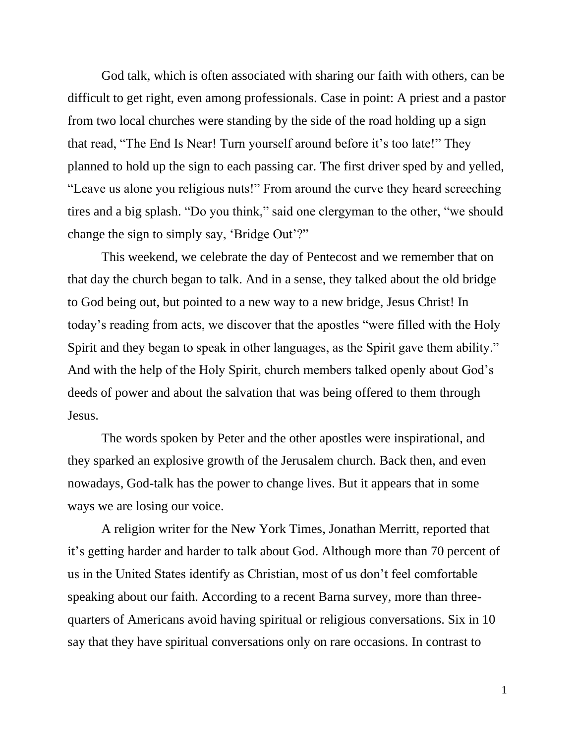God talk, which is often associated with sharing our faith with others, can be difficult to get right, even among professionals. Case in point: A priest and a pastor from two local churches were standing by the side of the road holding up a sign that read, "The End Is Near! Turn yourself around before it's too late!" They planned to hold up the sign to each passing car. The first driver sped by and yelled, "Leave us alone you religious nuts!" From around the curve they heard screeching tires and a big splash. "Do you think," said one clergyman to the other, "we should change the sign to simply say, 'Bridge Out'?"

This weekend, we celebrate the day of Pentecost and we remember that on that day the church began to talk. And in a sense, they talked about the old bridge to God being out, but pointed to a new way to a new bridge, Jesus Christ! In today's reading from acts, we discover that the apostles "were filled with the Holy Spirit and they began to speak in other languages, as the Spirit gave them ability." And with the help of the Holy Spirit, church members talked openly about God's deeds of power and about the salvation that was being offered to them through Jesus.

The words spoken by Peter and the other apostles were inspirational, and they sparked an explosive growth of the Jerusalem church. Back then, and even nowadays, God-talk has the power to change lives. But it appears that in some ways we are losing our voice.

A religion writer for the New York Times, Jonathan Merritt, reported that it's getting harder and harder to talk about God. Although more than 70 percent of us in the United States identify as Christian, most of us don't feel comfortable speaking about our faith. According to a recent Barna survey, more than threequarters of Americans avoid having spiritual or religious conversations. Six in 10 say that they have spiritual conversations only on rare occasions. In contrast to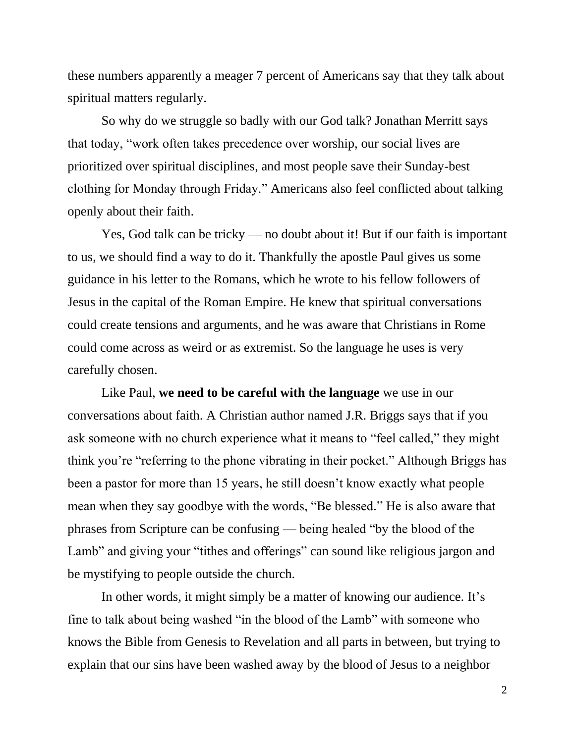these numbers apparently a meager 7 percent of Americans say that they talk about spiritual matters regularly.

So why do we struggle so badly with our God talk? Jonathan Merritt says that today, "work often takes precedence over worship, our social lives are prioritized over spiritual disciplines, and most people save their Sunday-best clothing for Monday through Friday." Americans also feel conflicted about talking openly about their faith.

Yes, God talk can be tricky — no doubt about it! But if our faith is important to us, we should find a way to do it. Thankfully the apostle Paul gives us some guidance in his letter to the Romans, which he wrote to his fellow followers of Jesus in the capital of the Roman Empire. He knew that spiritual conversations could create tensions and arguments, and he was aware that Christians in Rome could come across as weird or as extremist. So the language he uses is very carefully chosen.

Like Paul, **we need to be careful with the language** we use in our conversations about faith. A Christian author named J.R. Briggs says that if you ask someone with no church experience what it means to "feel called," they might think you're "referring to the phone vibrating in their pocket." Although Briggs has been a pastor for more than 15 years, he still doesn't know exactly what people mean when they say goodbye with the words, "Be blessed*.*" He is also aware that phrases from Scripture can be confusing — being healed "by the blood of the Lamb" and giving your "tithes and offerings" can sound like religious jargon and be mystifying to people outside the church.

In other words, it might simply be a matter of knowing our audience. It's fine to talk about being washed "in the blood of the Lamb" with someone who knows the Bible from Genesis to Revelation and all parts in between, but trying to explain that our sins have been washed away by the blood of Jesus to a neighbor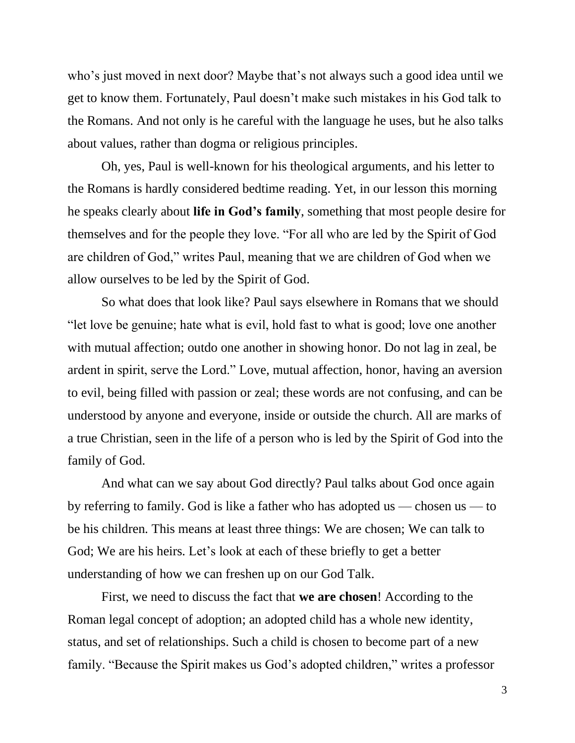who's just moved in next door? Maybe that's not always such a good idea until we get to know them. Fortunately, Paul doesn't make such mistakes in his God talk to the Romans. And not only is he careful with the language he uses, but he also talks about values, rather than dogma or religious principles.

Oh, yes, Paul is well-known for his theological arguments, and his letter to the Romans is hardly considered bedtime reading. Yet, in our lesson this morning he speaks clearly about **life in God's family**, something that most people desire for themselves and for the people they love. "For all who are led by the Spirit of God are children of God," writes Paul, meaning that we are children of God when we allow ourselves to be led by the Spirit of God.

So what does that look like? Paul says elsewhere in Romans that we should "let love be genuine; hate what is evil, hold fast to what is good; love one another with mutual affection; outdo one another in showing honor. Do not lag in zeal, be ardent in spirit, serve the Lord." Love, mutual affection, honor, having an aversion to evil, being filled with passion or zeal; these words are not confusing, and can be understood by anyone and everyone, inside or outside the church. All are marks of a true Christian, seen in the life of a person who is led by the Spirit of God into the family of God.

And what can we say about God directly? Paul talks about God once again by referring to family. God is like a father who has adopted us — chosen us — to be his children*.* This means at least three things: We are chosen; We can talk to God; We are his heirs. Let's look at each of these briefly to get a better understanding of how we can freshen up on our God Talk.

First, we need to discuss the fact that **we are chosen**! According to the Roman legal concept of adoption; an adopted child has a whole new identity, status, and set of relationships. Such a child is chosen to become part of a new family. "Because the Spirit makes us God's adopted children," writes a professor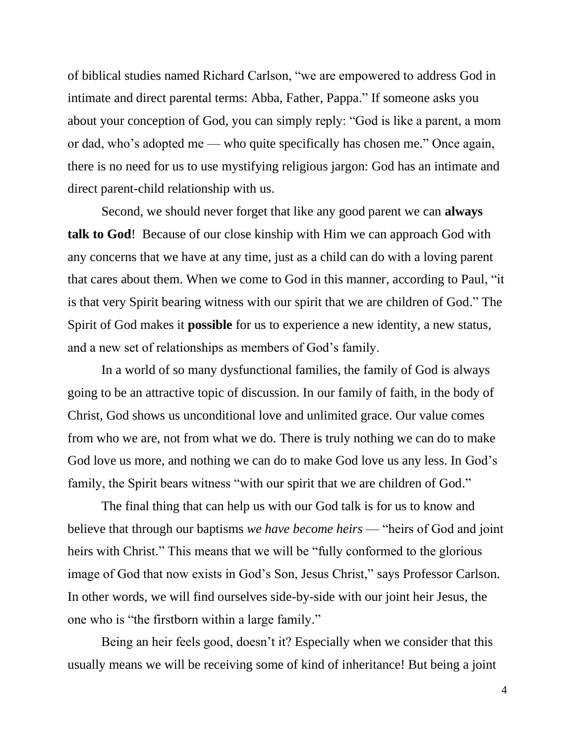of biblical studies named Richard Carlson, "we are empowered to address God in intimate and direct parental terms: Abba, Father, Pappa." If someone asks you about your conception of God, you can simply reply: "God is like a parent, a mom or dad, who's adopted me — who quite specifically has chosen me." Once again, there is no need for us to use mystifying religious jargon: God has an intimate and direct parent-child relationship with us.

Second, we should never forget that like any good parent we can **always talk to God**! Because of our close kinship with Him we can approach God with any concerns that we have at any time, just as a child can do with a loving parent that cares about them. When we come to God in this manner, according to Paul, "it is that very Spirit bearing witness with our spirit that we are children of God." The Spirit of God makes it **possible** for us to experience a new identity, a new status, and a new set of relationships as members of God's family.

In a world of so many dysfunctional families, the family of God is always going to be an attractive topic of discussion. In our family of faith, in the body of Christ, God shows us unconditional love and unlimited grace. Our value comes from who we are, not from what we do. There is truly nothing we can do to make God love us more, and nothing we can do to make God love us any less. In God's family, the Spirit bears witness "with our spirit that we are children of God."

The final thing that can help us with our God talk is for us to know and believe that through our baptisms *we have become heirs* — "heirs of God and joint heirs with Christ." This means that we will be "fully conformed to the glorious image of God that now exists in God's Son, Jesus Christ," says Professor Carlson. In other words, we will find ourselves side-by-side with our joint heir Jesus, the one who is "the firstborn within a large family."

Being an heir feels good, doesn't it? Especially when we consider that this usually means we will be receiving some of kind of inheritance! But being a joint